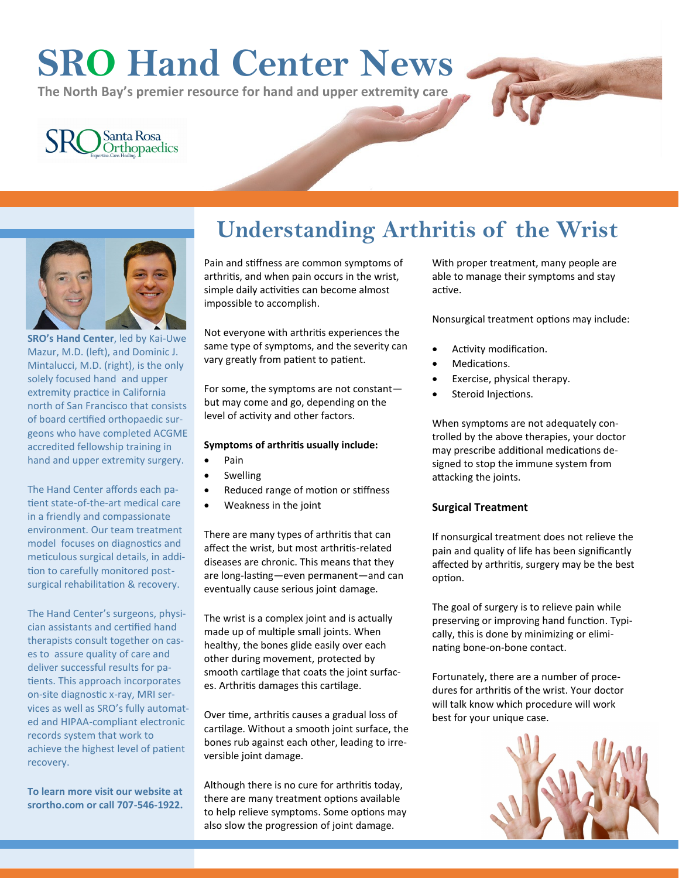# **SRO Hand Center News**

**The North Bay's premier resource for hand and upper extremity care**

## Santa Rosa<br>Orthopaedics



**SRO's Hand Center**, led by Kai-[Uwe](http://srortho.com/meet-our-surgeons/kai-uwe-mazur-md/)  [Mazur, M.D.](http://srortho.com/meet-our-surgeons/kai-uwe-mazur-md/) (left), and [Dominic J.](http://srortho.com/meet-our-surgeons/dominic-mintalucci-md/)  [Mintalucci, M.D.](http://srortho.com/meet-our-surgeons/dominic-mintalucci-md/) (right), is the only solely focused hand and upper extremity practice in California north of San Francisco that consists of board certified orthopaedic surgeons who have completed ACGME accredited fellowship training in hand and upper extremity surgery.

The Hand Center affords each patient state-of-the-art medical care in a friendly and compassionate environment. Our team treatment model focuses on diagnostics and meticulous surgical details, in addition to carefully monitored postsurgical rehabilitation & recovery.

The Hand Center's surgeons, physician assistants and certified hand therapists consult together on cases to assure quality of care and deliver successful results for patients. This approach incorporates on-site diagnostic x-ray, MRI services as well as SRO's fully automated and HIPAA-compliant electronic records system that work to achieve the highest level of patient recovery.

**To learn more visit our website at srortho.com or call 707-546-1922.**

### **Understanding Arthritis of the Wrist**

Pain and stiffness are common symptoms of arthritis, and when pain occurs in the wrist, simple daily activities can become almost impossible to accomplish.

Not everyone with arthritis experiences the same type of symptoms, and the severity can vary greatly from patient to patient.

For some, the symptoms are not constant but may come and go, depending on the level of activity and other factors.

#### **Symptoms of arthritis usually include:**

- Pain
- **Swelling**
- Reduced range of motion or stiffness
- Weakness in the joint

There are many types of arthritis that can affect the wrist, but most arthritis-related diseases are chronic. This means that they are long-lasting—even permanent—and can eventually cause serious joint damage.

The wrist is a complex joint and is actually made up of multiple small joints. When healthy, the bones glide easily over each other during movement, protected by smooth cartilage that coats the joint surfaces. Arthritis damages this cartilage.

Over time, arthritis causes a gradual loss of cartilage. Without a smooth joint surface, the bones rub against each other, leading to irreversible joint damage.

Although there is no cure for arthritis today, there are many treatment options available to help relieve symptoms. Some options may also slow the progression of joint damage.

With proper treatment, many people are able to manage their symptoms and stay active.

Nonsurgical treatment options may include:

- Activity modification.
- Medications.
- Exercise, physical therapy.
- Steroid Injections.

When symptoms are not adequately controlled by the above therapies, your doctor may prescribe additional medications designed to stop the immune system from attacking the joints.

#### **Surgical Treatment**

If nonsurgical treatment does not relieve the pain and quality of life has been significantly affected by arthritis, surgery may be the best option.

The goal of surgery is to relieve pain while preserving or improving hand function. Typically, this is done by minimizing or eliminating bone-on-bone contact.

Fortunately, there are a number of procedures for arthritis of the wrist. Your doctor will talk know which procedure will work best for your unique case.